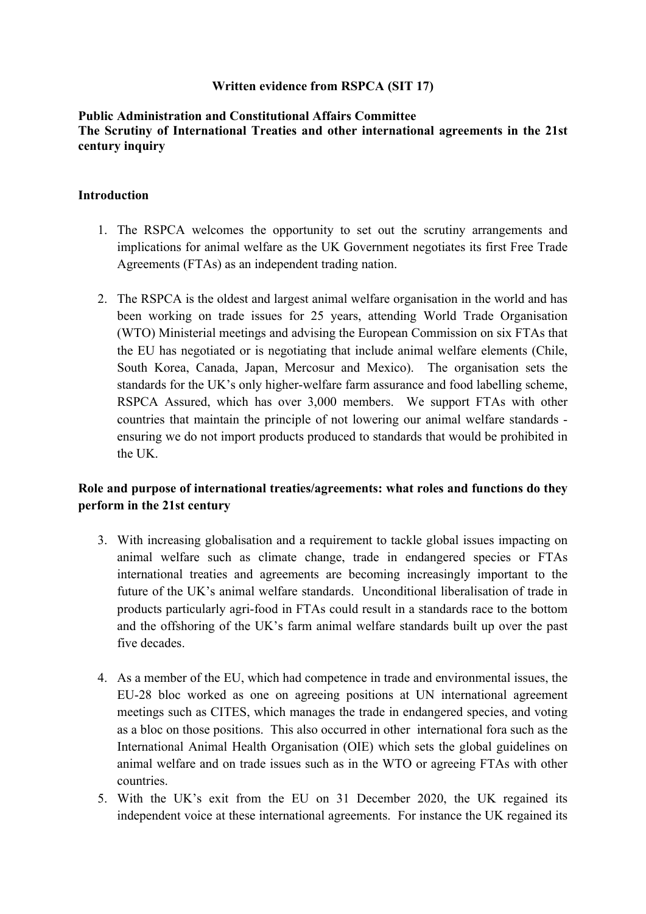### **Written evidence from RSPCA (SIT 17)**

### **Public Administration and Constitutional Affairs Committee The Scrutiny of International Treaties and other international agreements in the 21st century inquiry**

#### **Introduction**

- 1. The RSPCA welcomes the opportunity to set out the scrutiny arrangements and implications for animal welfare as the UK Government negotiates its first Free Trade Agreements (FTAs) as an independent trading nation.
- 2. The RSPCA is the oldest and largest animal welfare organisation in the world and has been working on trade issues for 25 years, attending World Trade Organisation (WTO) Ministerial meetings and advising the European Commission on six FTAs that the EU has negotiated or is negotiating that include animal welfare elements (Chile, South Korea, Canada, Japan, Mercosur and Mexico). The organisation sets the standards for the UK's only higher-welfare farm assurance and food labelling scheme, RSPCA Assured, which has over 3,000 members. We support FTAs with other countries that maintain the principle of not lowering our animal welfare standards ensuring we do not import products produced to standards that would be prohibited in the UK.

## **Role and purpose of international treaties/agreements: what roles and functions do they perform in the 21st century**

- 3. With increasing globalisation and a requirement to tackle global issues impacting on animal welfare such as climate change, trade in endangered species or FTAs international treaties and agreements are becoming increasingly important to the future of the UK's animal welfare standards. Unconditional liberalisation of trade in products particularly agri-food in FTAs could result in a standards race to the bottom and the offshoring of the UK's farm animal welfare standards built up over the past five decades.
- 4. As a member of the EU, which had competence in trade and environmental issues, the EU-28 bloc worked as one on agreeing positions at UN international agreement meetings such as CITES, which manages the trade in endangered species, and voting as a bloc on those positions. This also occurred in other international fora such as the International Animal Health Organisation (OIE) which sets the global guidelines on animal welfare and on trade issues such as in the WTO or agreeing FTAs with other countries.
- 5. With the UK's exit from the EU on 31 December 2020, the UK regained its independent voice at these international agreements. For instance the UK regained its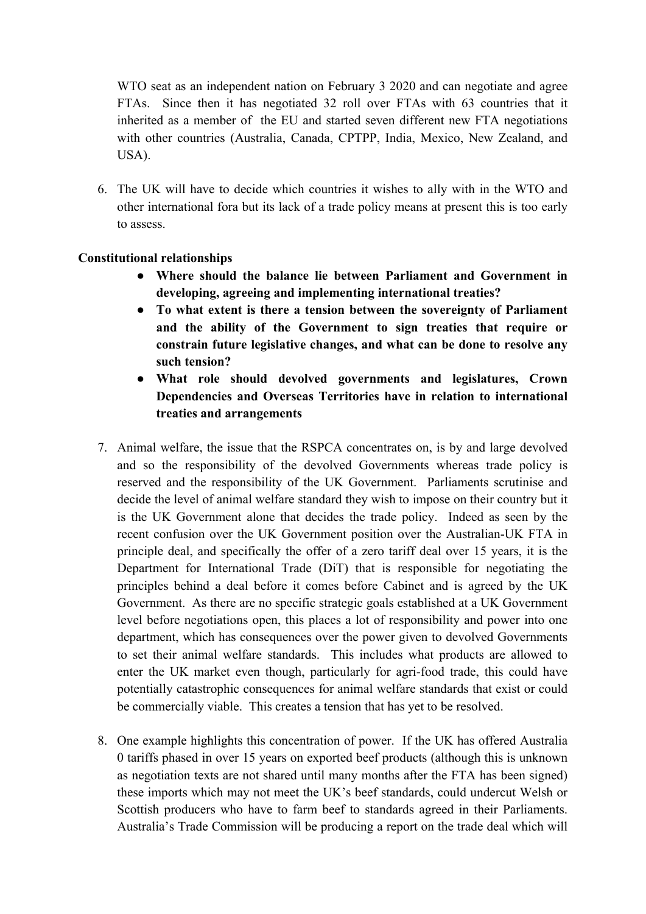WTO seat as an independent nation on February 3 2020 and can negotiate and agree FTAs. Since then it has negotiated 32 roll over FTAs with 63 countries that it inherited as a member of the EU and started seven different new FTA negotiations with other countries (Australia, Canada, CPTPP, India, Mexico, New Zealand, and USA).

6. The UK will have to decide which countries it wishes to ally with in the WTO and other international fora but its lack of a trade policy means at present this is too early to assess.

## **Constitutional relationships**

- **Where should the balance lie between Parliament and Government in developing, agreeing and implementing international treaties?**
- **To what extent is there a tension between the sovereignty of Parliament and the ability of the Government to sign treaties that require or constrain future legislative changes, and what can be done to resolve any such tension?**
- **What role should devolved governments and legislatures, Crown Dependencies and Overseas Territories have in relation to international treaties and arrangements**
- 7. Animal welfare, the issue that the RSPCA concentrates on, is by and large devolved and so the responsibility of the devolved Governments whereas trade policy is reserved and the responsibility of the UK Government. Parliaments scrutinise and decide the level of animal welfare standard they wish to impose on their country but it is the UK Government alone that decides the trade policy. Indeed as seen by the recent confusion over the UK Government position over the Australian-UK FTA in principle deal, and specifically the offer of a zero tariff deal over 15 years, it is the Department for International Trade (DiT) that is responsible for negotiating the principles behind a deal before it comes before Cabinet and is agreed by the UK Government. As there are no specific strategic goals established at a UK Government level before negotiations open, this places a lot of responsibility and power into one department, which has consequences over the power given to devolved Governments to set their animal welfare standards. This includes what products are allowed to enter the UK market even though, particularly for agri-food trade, this could have potentially catastrophic consequences for animal welfare standards that exist or could be commercially viable. This creates a tension that has yet to be resolved.
- 8. One example highlights this concentration of power. If the UK has offered Australia 0 tariffs phased in over 15 years on exported beef products (although this is unknown as negotiation texts are not shared until many months after the FTA has been signed) these imports which may not meet the UK's beef standards, could undercut Welsh or Scottish producers who have to farm beef to standards agreed in their Parliaments. Australia's Trade Commission will be producing a report on the trade deal which will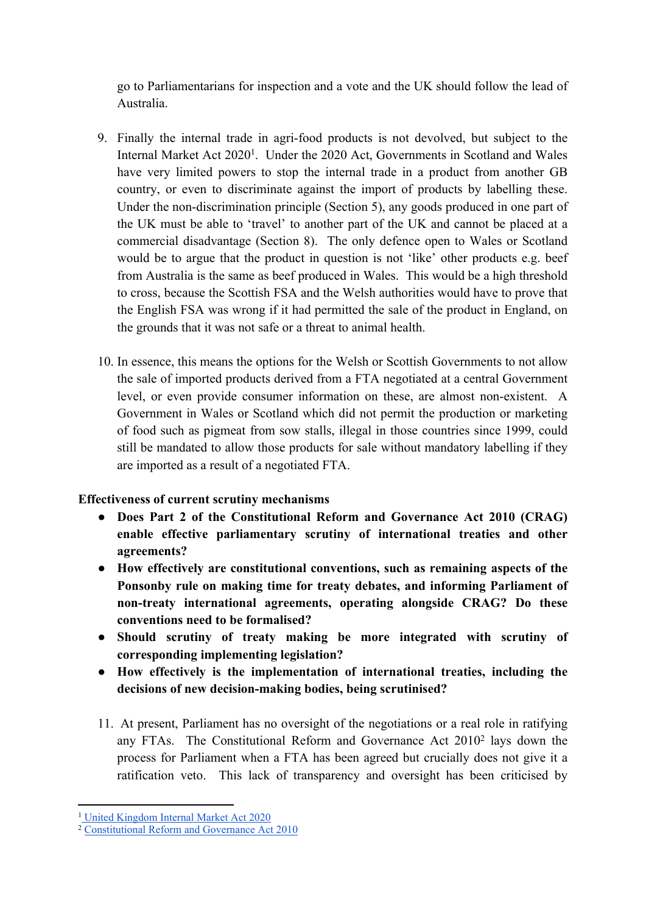go to Parliamentarians for inspection and a vote and the UK should follow the lead of Australia.

- 9. Finally the internal trade in agri-food products is not devolved, but subject to the Internal Market Act 2020<sup>1</sup>. Under the 2020 Act, Governments in Scotland and Wales have very limited powers to stop the internal trade in a product from another GB country, or even to discriminate against the import of products by labelling these. Under the non-discrimination principle (Section 5), any goods produced in one part of the UK must be able to 'travel' to another part of the UK and cannot be placed at a commercial disadvantage (Section 8). The only defence open to Wales or Scotland would be to argue that the product in question is not 'like' other products e.g. beef from Australia is the same as beef produced in Wales. This would be a high threshold to cross, because the Scottish FSA and the Welsh authorities would have to prove that the English FSA was wrong if it had permitted the sale of the product in England, on the grounds that it was not safe or a threat to animal health.
- 10. In essence, this means the options for the Welsh or Scottish Governments to not allow the sale of imported products derived from a FTA negotiated at a central Government level, or even provide consumer information on these, are almost non-existent. A Government in Wales or Scotland which did not permit the production or marketing of food such as pigmeat from sow stalls, illegal in those countries since 1999, could still be mandated to allow those products for sale without mandatory labelling if they are imported as a result of a negotiated FTA.

# **Effectiveness of current scrutiny mechanisms**

- **Does Part 2 of the Constitutional Reform and Governance Act 2010 (CRAG) enable effective parliamentary scrutiny of international treaties and other agreements?**
- **How effectively are constitutional conventions, such as remaining aspects of the Ponsonby rule on making time for treaty debates, and informing Parliament of non-treaty international agreements, operating alongside CRAG? Do these conventions need to be formalised?**
- **Should scrutiny of treaty making be more integrated with scrutiny of corresponding implementing legislation?**
- **How effectively is the implementation of international treaties, including the decisions of new decision-making bodies, being scrutinised?**
- 11. At present, Parliament has no oversight of the negotiations or a real role in ratifying any FTAs. The Constitutional Reform and Governance Act 2010<sup>2</sup> lays down the process for Parliament when a FTA has been agreed but crucially does not give it a ratification veto. This lack of transparency and oversight has been criticised by

<sup>1</sup> [United](https://www.legislation.gov.uk/ukpga/2020/27/enacted) [Kingdom](https://www.legislation.gov.uk/ukpga/2020/27/enacted) [Internal](https://www.legislation.gov.uk/ukpga/2020/27/enacted) [Market](https://www.legislation.gov.uk/ukpga/2020/27/enacted) [Act](https://www.legislation.gov.uk/ukpga/2020/27/enacted) [2020](https://www.legislation.gov.uk/ukpga/2020/27/enacted)

<sup>2</sup> [Constitutional](https://www.legislation.gov.uk/ukpga/2010/25/contents) [Reform](https://www.legislation.gov.uk/ukpga/2010/25/contents) [and](https://www.legislation.gov.uk/ukpga/2010/25/contents) [Governance](https://www.legislation.gov.uk/ukpga/2010/25/contents) [Act](https://www.legislation.gov.uk/ukpga/2010/25/contents) [2010](https://www.legislation.gov.uk/ukpga/2010/25/contents)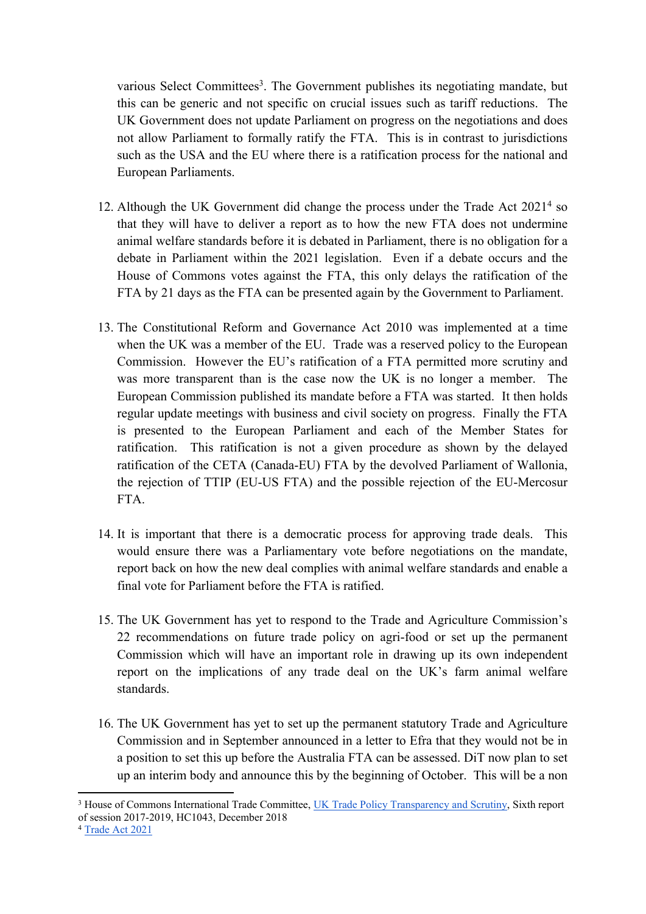various Select Committees<sup>3</sup>. The Government publishes its negotiating mandate, but this can be generic and not specific on crucial issues such as tariff reductions. The UK Government does not update Parliament on progress on the negotiations and does not allow Parliament to formally ratify the FTA. This is in contrast to jurisdictions such as the USA and the EU where there is a ratification process for the national and European Parliaments.

- 12. Although the UK Government did change the process under the Trade Act 2021<sup>4</sup> so that they will have to deliver a report as to how the new FTA does not undermine animal welfare standards before it is debated in Parliament, there is no obligation for a debate in Parliament within the 2021 legislation. Even if a debate occurs and the House of Commons votes against the FTA, this only delays the ratification of the FTA by 21 days as the FTA can be presented again by the Government to Parliament.
- 13. The Constitutional Reform and Governance Act 2010 was implemented at a time when the UK was a member of the EU. Trade was a reserved policy to the European Commission. However the EU's ratification of a FTA permitted more scrutiny and was more transparent than is the case now the UK is no longer a member. The European Commission published its mandate before a FTA was started. It then holds regular update meetings with business and civil society on progress. Finally the FTA is presented to the European Parliament and each of the Member States for ratification. This ratification is not a given procedure as shown by the delayed ratification of the CETA (Canada-EU) FTA by the devolved Parliament of Wallonia, the rejection of TTIP (EU-US FTA) and the possible rejection of the EU-Mercosur FTA.
- 14. It is important that there is a democratic process for approving trade deals. This would ensure there was a Parliamentary vote before negotiations on the mandate, report back on how the new deal complies with animal welfare standards and enable a final vote for Parliament before the FTA is ratified.
- 15. The UK Government has yet to respond to the Trade and Agriculture Commission's 22 recommendations on future trade policy on agri-food or set up the permanent Commission which will have an important role in drawing up its own independent report on the implications of any trade deal on the UK's farm animal welfare standards.
- 16. The UK Government has yet to set up the permanent statutory Trade and Agriculture Commission and in September announced in a letter to Efra that they would not be in a position to set this up before the Australia FTA can be assessed. DiT now plan to set up an interim body and announce this by the beginning of October. This will be a non

<sup>3</sup> House of Commons International Trade Committee, [UK](https://publications.parliament.uk/pa/cm201719/cmselect/cmintrade/1043/1043.pdf) [Trade](https://publications.parliament.uk/pa/cm201719/cmselect/cmintrade/1043/1043.pdf) [Policy](https://publications.parliament.uk/pa/cm201719/cmselect/cmintrade/1043/1043.pdf) [Transparency](https://publications.parliament.uk/pa/cm201719/cmselect/cmintrade/1043/1043.pdf) [and](https://publications.parliament.uk/pa/cm201719/cmselect/cmintrade/1043/1043.pdf) [Scrutiny,](https://publications.parliament.uk/pa/cm201719/cmselect/cmintrade/1043/1043.pdf) Sixth report of session 2017-2019, HC1043, December 2018

<sup>4</sup> [Trade](https://www.legislation.gov.uk/ukpga/2021/10/contents/enacted) [Act](https://www.legislation.gov.uk/ukpga/2021/10/contents/enacted) [2021](https://www.legislation.gov.uk/ukpga/2021/10/contents/enacted)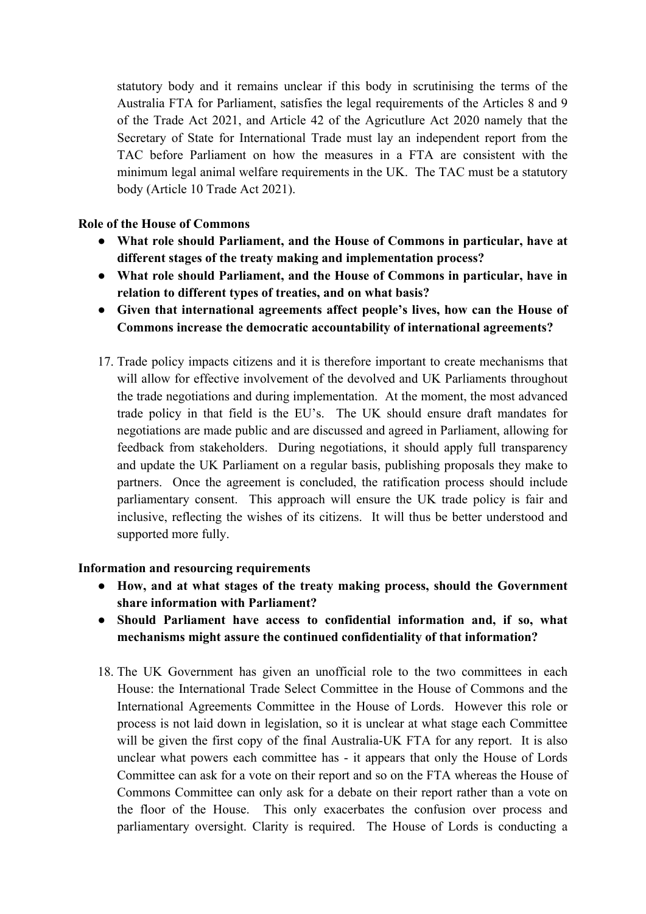statutory body and it remains unclear if this body in scrutinising the terms of the Australia FTA for Parliament, satisfies the legal requirements of the Articles 8 and 9 of the Trade Act 2021, and Article 42 of the Agricutlure Act 2020 namely that the Secretary of State for International Trade must lay an independent report from the TAC before Parliament on how the measures in a FTA are consistent with the minimum legal animal welfare requirements in the UK. The TAC must be a statutory body (Article 10 Trade Act 2021).

### **Role of the House of Commons**

- **What role should Parliament, and the House of Commons in particular, have at different stages of the treaty making and implementation process?**
- **What role should Parliament, and the House of Commons in particular, have in relation to different types of treaties, and on what basis?**
- **Given that international agreements affect people's lives, how can the House of Commons increase the democratic accountability of international agreements?**
- 17. Trade policy impacts citizens and it is therefore important to create mechanisms that will allow for effective involvement of the devolved and UK Parliaments throughout the trade negotiations and during implementation. At the moment, the most advanced trade policy in that field is the EU's. The UK should ensure draft mandates for negotiations are made public and are discussed and agreed in Parliament, allowing for feedback from stakeholders. During negotiations, it should apply full transparency and update the UK Parliament on a regular basis, publishing proposals they make to partners. Once the agreement is concluded, the ratification process should include parliamentary consent. This approach will ensure the UK trade policy is fair and inclusive, reflecting the wishes of its citizens. It will thus be better understood and supported more fully.

#### **Information and resourcing requirements**

- **How, and at what stages of the treaty making process, should the Government share information with Parliament?**
- **Should Parliament have access to confidential information and, if so, what mechanisms might assure the continued confidentiality of that information?**
- 18. The UK Government has given an unofficial role to the two committees in each House: the International Trade Select Committee in the House of Commons and the International Agreements Committee in the House of Lords. However this role or process is not laid down in legislation, so it is unclear at what stage each Committee will be given the first copy of the final Australia-UK FTA for any report. It is also unclear what powers each committee has - it appears that only the House of Lords Committee can ask for a vote on their report and so on the FTA whereas the House of Commons Committee can only ask for a debate on their report rather than a vote on the floor of the House. This only exacerbates the confusion over process and parliamentary oversight. Clarity is required. The House of Lords is conducting a